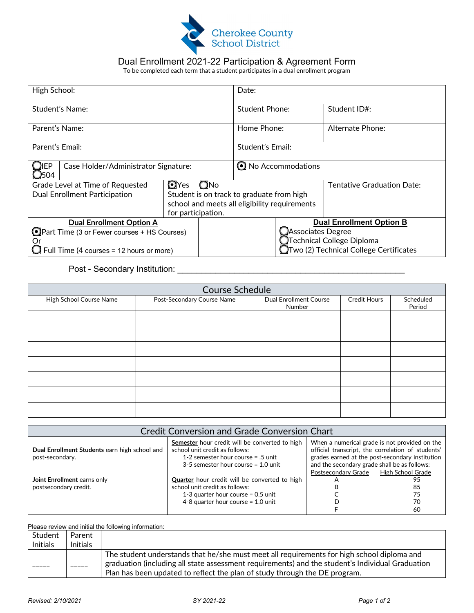

## Dual Enrollment 2021-22 Participation & Agreement Form

To be completed each term that a student participates in a dual enrollment program

| High School:                                           |                    |                                               | Date:                           |                                                |                                   |  |
|--------------------------------------------------------|--------------------|-----------------------------------------------|---------------------------------|------------------------------------------------|-----------------------------------|--|
| <b>Student's Name:</b>                                 |                    |                                               | <b>Student Phone:</b>           |                                                | Student ID#:                      |  |
| Parent's Name:                                         |                    |                                               | Home Phone:                     |                                                | Alternate Phone:                  |  |
| Parent's Email:                                        |                    |                                               | Student's Email:                |                                                |                                   |  |
| (JIEP)<br>Case Holder/Administrator Signature:<br>Q504 |                    |                                               | O No Accommodations             |                                                |                                   |  |
| Grade Level at Time of Requested                       | $\mathbf{O}$ Yes   | $\Box$ No                                     |                                 |                                                | <b>Tentative Graduation Date:</b> |  |
| <b>Dual Enrollment Participation</b>                   |                    |                                               |                                 | Student is on track to graduate from high      |                                   |  |
|                                                        |                    | school and meets all eligibility requirements |                                 |                                                |                                   |  |
|                                                        | for participation. |                                               |                                 |                                                |                                   |  |
| <b>Dual Enrollment Option A</b>                        |                    |                                               | <b>Dual Enrollment Option B</b> |                                                |                                   |  |
| Part Time (3 or Fewer courses + HS Courses)            |                    |                                               |                                 | CAssociates Degree                             |                                   |  |
| Or                                                     |                    |                                               |                                 | OTechnical College Diploma                     |                                   |  |
| Full Time (4 courses = 12 hours or more)               |                    |                                               |                                 | <b>OTwo (2) Technical College Certificates</b> |                                   |  |

## Post - Secondary Institution: \_\_\_\_\_\_\_\_\_\_\_\_\_\_\_\_\_\_\_\_\_\_\_\_\_\_\_\_\_\_\_\_\_\_\_\_\_\_\_\_\_\_\_\_\_\_\_\_

| Course Schedule         |                            |                                         |                     |                     |  |
|-------------------------|----------------------------|-----------------------------------------|---------------------|---------------------|--|
| High School Course Name | Post-Secondary Course Name | <b>Dual Enrollment Course</b><br>Number | <b>Credit Hours</b> | Scheduled<br>Period |  |
|                         |                            |                                         |                     |                     |  |
|                         |                            |                                         |                     |                     |  |
|                         |                            |                                         |                     |                     |  |
|                         |                            |                                         |                     |                     |  |
|                         |                            |                                         |                     |                     |  |
|                         |                            |                                         |                     |                     |  |
|                         |                            |                                         |                     |                     |  |

| <b>Credit Conversion and Grade Conversion Chart</b>              |                                                                                                                                                                        |                                                                                                                                                                                                       |                                                 |  |
|------------------------------------------------------------------|------------------------------------------------------------------------------------------------------------------------------------------------------------------------|-------------------------------------------------------------------------------------------------------------------------------------------------------------------------------------------------------|-------------------------------------------------|--|
| Dual Enrollment Students earn high school and<br>post-secondary. | Semester hour credit will be converted to high<br>school unit credit as follows:<br>1-2 semester hour course $= .5$ unit<br>3-5 semester hour course = 1.0 unit        | When a numerical grade is not provided on the<br>official transcript, the correlation of students'<br>grades earned at the post-secondary institution<br>and the secondary grade shall be as follows: |                                                 |  |
| Joint Enrollment earns only<br>postsecondary credit.             | <b>Quarter</b> hour credit will be converted to high<br>school unit credit as follows:<br>1-3 quarter hour course = $0.5$ unit<br>4-8 quarter hour course = $1.0$ unit | Postsecondary Grade                                                                                                                                                                                   | High School Grade<br>95<br>85<br>75<br>70<br>60 |  |

Please review and initial the following information:

| Student         | Parent   |                                                                                                                                                                                |
|-----------------|----------|--------------------------------------------------------------------------------------------------------------------------------------------------------------------------------|
| <b>Initials</b> | Initials |                                                                                                                                                                                |
|                 |          | The student understands that he/she must meet all requirements for high school diploma and                                                                                     |
|                 |          | graduation (including all state assessment requirements) and the student's Individual Graduation<br>Plan has been updated to reflect the plan of study through the DE program. |
|                 |          |                                                                                                                                                                                |